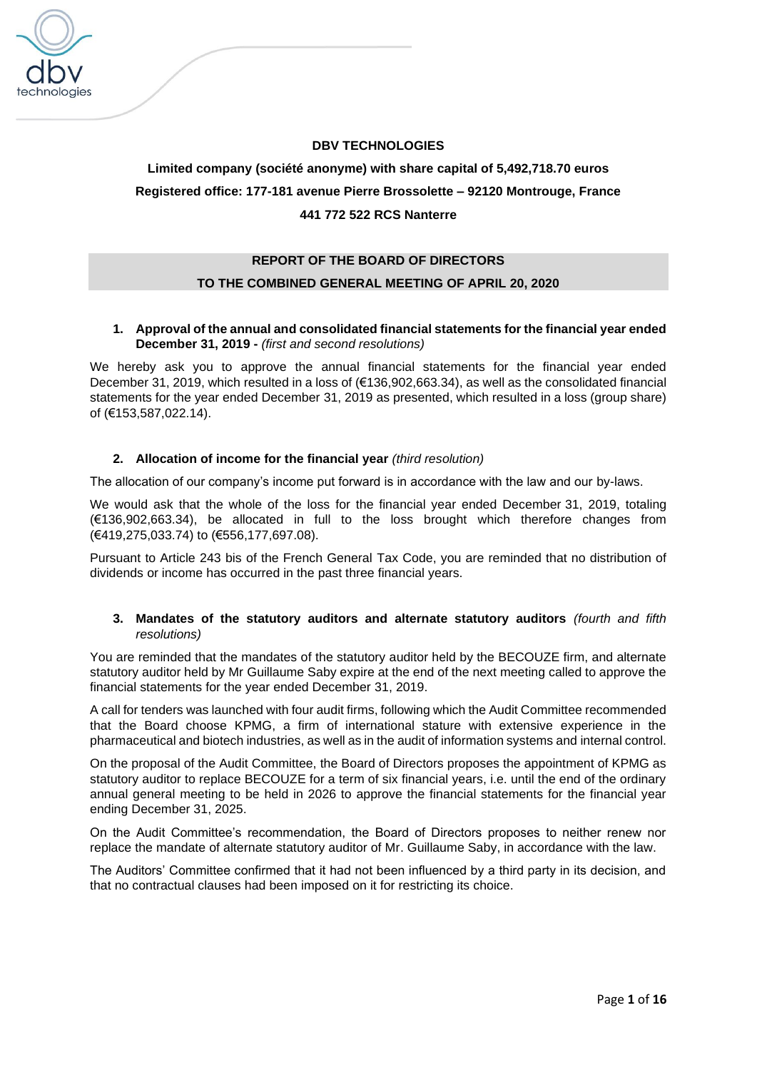

# **DBV TECHNOLOGIES**

# **Limited company (société anonyme) with share capital of 5,492,718.70 euros Registered office: 177-181 avenue Pierre Brossolette – 92120 Montrouge, France 441 772 522 RCS Nanterre**

### **REPORT OF THE BOARD OF DIRECTORS**

# **TO THE COMBINED GENERAL MEETING OF APRIL 20, 2020**

# **1. Approval of the annual and consolidated financial statements for the financial year ended December 31, 2019 -** *(first and second resolutions)*

We hereby ask you to approve the annual financial statements for the financial year ended December 31, 2019, which resulted in a loss of (€136,902,663.34), as well as the consolidated financial statements for the year ended December 31, 2019 as presented, which resulted in a loss (group share) of (€153,587,022.14).

#### **2. Allocation of income for the financial year** *(third resolution)*

The allocation of our company's income put forward is in accordance with the law and our by-laws.

We would ask that the whole of the loss for the financial year ended December 31, 2019, totaling (€136,902,663.34), be allocated in full to the loss brought which therefore changes from (€419,275,033.74) to (€556,177,697.08).

Pursuant to Article 243 bis of the French General Tax Code, you are reminded that no distribution of dividends or income has occurred in the past three financial years.

### **3. Mandates of the statutory auditors and alternate statutory auditors** *(fourth and fifth resolutions)*

You are reminded that the mandates of the statutory auditor held by the BECOUZE firm, and alternate statutory auditor held by Mr Guillaume Saby expire at the end of the next meeting called to approve the financial statements for the year ended December 31, 2019.

A call for tenders was launched with four audit firms, following which the Audit Committee recommended that the Board choose KPMG, a firm of international stature with extensive experience in the pharmaceutical and biotech industries, as well as in the audit of information systems and internal control.

On the proposal of the Audit Committee, the Board of Directors proposes the appointment of KPMG as statutory auditor to replace BECOUZE for a term of six financial years, i.e. until the end of the ordinary annual general meeting to be held in 2026 to approve the financial statements for the financial year ending December 31, 2025.

On the Audit Committee's recommendation, the Board of Directors proposes to neither renew nor replace the mandate of alternate statutory auditor of Mr. Guillaume Saby, in accordance with the law.

The Auditors' Committee confirmed that it had not been influenced by a third party in its decision, and that no contractual clauses had been imposed on it for restricting its choice.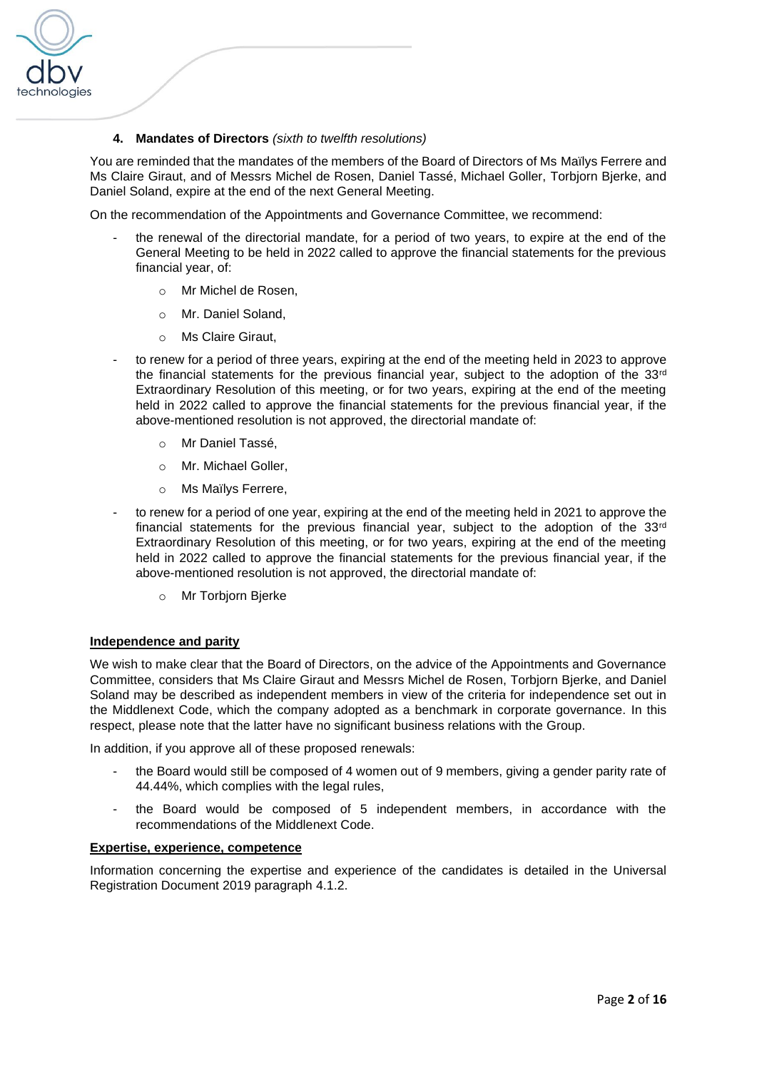

# **4. Mandates of Directors** *(sixth to twelfth resolutions)*

You are reminded that the mandates of the members of the Board of Directors of Ms Maïlys Ferrere and Ms Claire Giraut, and of Messrs Michel de Rosen, Daniel Tassé, Michael Goller, Torbjorn Bjerke, and Daniel Soland, expire at the end of the next General Meeting.

On the recommendation of the Appointments and Governance Committee, we recommend:

- the renewal of the directorial mandate, for a period of two years, to expire at the end of the General Meeting to be held in 2022 called to approve the financial statements for the previous financial year, of:
	- o Mr Michel de Rosen,
	- o Mr. Daniel Soland,
	- o Ms Claire Giraut,
- to renew for a period of three years, expiring at the end of the meeting held in 2023 to approve the financial statements for the previous financial year, subject to the adoption of the  $33<sup>rd</sup>$ Extraordinary Resolution of this meeting, or for two years, expiring at the end of the meeting held in 2022 called to approve the financial statements for the previous financial year, if the above-mentioned resolution is not approved, the directorial mandate of:
	- o Mr Daniel Tassé,
	- o Mr. Michael Goller,
	- o Ms Maïlys Ferrere,
- to renew for a period of one year, expiring at the end of the meeting held in 2021 to approve the financial statements for the previous financial year, subject to the adoption of the  $33<sup>rd</sup>$ Extraordinary Resolution of this meeting, or for two years, expiring at the end of the meeting held in 2022 called to approve the financial statements for the previous financial year, if the above-mentioned resolution is not approved, the directorial mandate of:
	- o Mr Torbjorn Bjerke

#### **Independence and parity**

We wish to make clear that the Board of Directors, on the advice of the Appointments and Governance Committee, considers that Ms Claire Giraut and Messrs Michel de Rosen, Torbjorn Bjerke, and Daniel Soland may be described as independent members in view of the criteria for independence set out in the Middlenext Code, which the company adopted as a benchmark in corporate governance. In this respect, please note that the latter have no significant business relations with the Group.

In addition, if you approve all of these proposed renewals:

- the Board would still be composed of 4 women out of 9 members, giving a gender parity rate of 44.44%, which complies with the legal rules,
- the Board would be composed of 5 independent members, in accordance with the recommendations of the Middlenext Code.

#### **Expertise, experience, competence**

Information concerning the expertise and experience of the candidates is detailed in the Universal Registration Document 2019 paragraph 4.1.2.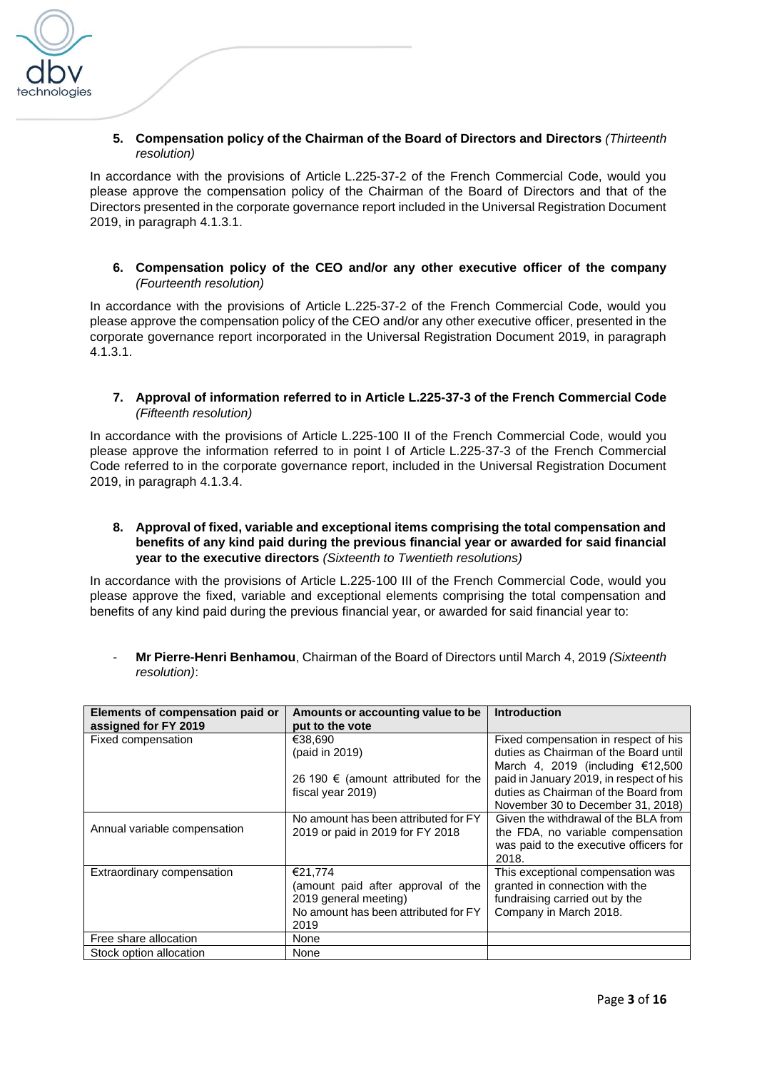

**5. Compensation policy of the Chairman of the Board of Directors and Directors** *(Thirteenth resolution)*

In accordance with the provisions of Article L.225-37-2 of the French Commercial Code, would you please approve the compensation policy of the Chairman of the Board of Directors and that of the Directors presented in the corporate governance report included in the Universal Registration Document 2019, in paragraph 4.1.3.1.

**6. Compensation policy of the CEO and/or any other executive officer of the company**  *(Fourteenth resolution)*

In accordance with the provisions of Article L.225-37-2 of the French Commercial Code, would you please approve the compensation policy of the CEO and/or any other executive officer, presented in the corporate governance report incorporated in the Universal Registration Document 2019, in paragraph 4.1.3.1.

**7. Approval of information referred to in Article L.225-37-3 of the French Commercial Code**  *(Fifteenth resolution)*

In accordance with the provisions of Article L.225-100 II of the French Commercial Code, would you please approve the information referred to in point I of Article L.225-37-3 of the French Commercial Code referred to in the corporate governance report, included in the Universal Registration Document 2019, in paragraph 4.1.3.4.

**8. Approval of fixed, variable and exceptional items comprising the total compensation and benefits of any kind paid during the previous financial year or awarded for said financial year to the executive directors** *(Sixteenth to Twentieth resolutions)*

In accordance with the provisions of Article L.225-100 III of the French Commercial Code, would you please approve the fixed, variable and exceptional elements comprising the total compensation and benefits of any kind paid during the previous financial year, or awarded for said financial year to:

- **Mr Pierre-Henri Benhamou**, Chairman of the Board of Directors until March 4, 2019 *(Sixteenth resolution)*:

| Elements of compensation paid or | Amounts or accounting value to be    | <b>Introduction</b>                     |
|----------------------------------|--------------------------------------|-----------------------------------------|
| assigned for FY 2019             | put to the vote                      |                                         |
| Fixed compensation               | €38.690                              | Fixed compensation in respect of his    |
|                                  | (paid in 2019)                       | duties as Chairman of the Board until   |
|                                  |                                      | March 4, 2019 (including $£12,500$      |
|                                  | 26 190 € (amount attributed for the  | paid in January 2019, in respect of his |
|                                  | fiscal year 2019)                    | duties as Chairman of the Board from    |
|                                  |                                      | November 30 to December 31, 2018)       |
|                                  | No amount has been attributed for FY | Given the withdrawal of the BLA from    |
| Annual variable compensation     | 2019 or paid in 2019 for FY 2018     | the FDA, no variable compensation       |
|                                  |                                      | was paid to the executive officers for  |
|                                  |                                      | 2018.                                   |
| Extraordinary compensation       | €21,774                              | This exceptional compensation was       |
|                                  | (amount paid after approval of the   | granted in connection with the          |
|                                  | 2019 general meeting)                | fundraising carried out by the          |
|                                  | No amount has been attributed for FY | Company in March 2018.                  |
|                                  | 2019                                 |                                         |
| Free share allocation            | None                                 |                                         |
| Stock option allocation          | None                                 |                                         |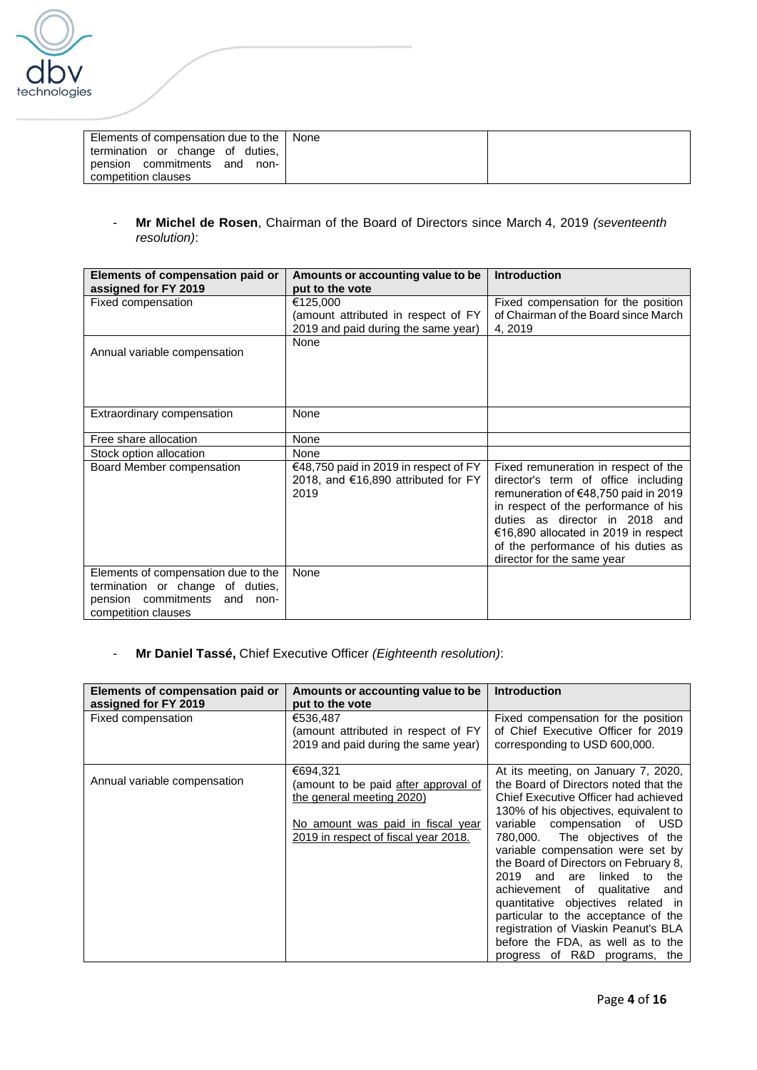

| Elements of compensation due to the   None |  |
|--------------------------------------------|--|
| termination or change of duties,           |  |
| pension commitments<br>and<br>non-         |  |
| competition clauses                        |  |

- **Mr Michel de Rosen**, Chairman of the Board of Directors since March 4, 2019 *(seventeenth resolution)*:

| Elements of compensation paid or<br>assigned for FY 2019  | Amounts or accounting value to be<br>put to the vote                                 | <b>Introduction</b>                                                                                                                                                                                                                                                                                        |
|-----------------------------------------------------------|--------------------------------------------------------------------------------------|------------------------------------------------------------------------------------------------------------------------------------------------------------------------------------------------------------------------------------------------------------------------------------------------------------|
| Fixed compensation                                        | €125,000                                                                             | Fixed compensation for the position                                                                                                                                                                                                                                                                        |
|                                                           | (amount attributed in respect of FY                                                  | of Chairman of the Board since March<br>4, 2019                                                                                                                                                                                                                                                            |
|                                                           | 2019 and paid during the same year)<br>None                                          |                                                                                                                                                                                                                                                                                                            |
| Annual variable compensation                              |                                                                                      |                                                                                                                                                                                                                                                                                                            |
|                                                           |                                                                                      |                                                                                                                                                                                                                                                                                                            |
|                                                           |                                                                                      |                                                                                                                                                                                                                                                                                                            |
|                                                           |                                                                                      |                                                                                                                                                                                                                                                                                                            |
| Extraordinary compensation                                | None                                                                                 |                                                                                                                                                                                                                                                                                                            |
| Free share allocation                                     | None                                                                                 |                                                                                                                                                                                                                                                                                                            |
| Stock option allocation                                   | None                                                                                 |                                                                                                                                                                                                                                                                                                            |
| Board Member compensation                                 | €48,750 paid in 2019 in respect of FY<br>2018, and €16,890 attributed for FY<br>2019 | Fixed remuneration in respect of the<br>director's term of office including<br>remuneration of €48,750 paid in 2019<br>in respect of the performance of his<br>duties as director in 2018 and<br>€16,890 allocated in 2019 in respect<br>of the performance of his duties as<br>director for the same year |
| Elements of compensation due to the                       | None                                                                                 |                                                                                                                                                                                                                                                                                                            |
| termination or change of duties,                          |                                                                                      |                                                                                                                                                                                                                                                                                                            |
| pension commitments<br>and<br>non-<br>competition clauses |                                                                                      |                                                                                                                                                                                                                                                                                                            |
|                                                           |                                                                                      |                                                                                                                                                                                                                                                                                                            |

# - **Mr Daniel Tassé,** Chief Executive Officer *(Eighteenth resolution)*:

| Elements of compensation paid or | Amounts or accounting value to be    | <b>Introduction</b>                    |
|----------------------------------|--------------------------------------|----------------------------------------|
| assigned for FY 2019             | put to the vote                      |                                        |
| Fixed compensation               | €536,487                             | Fixed compensation for the position    |
|                                  | (amount attributed in respect of FY  | of Chief Executive Officer for 2019    |
|                                  | 2019 and paid during the same year)  | corresponding to USD 600,000.          |
|                                  |                                      |                                        |
|                                  | €694.321                             | At its meeting, on January 7, 2020,    |
| Annual variable compensation     | (amount to be paid after approval of | the Board of Directors noted that the  |
|                                  | the general meeting 2020)            | Chief Executive Officer had achieved   |
|                                  |                                      | 130% of his objectives, equivalent to  |
|                                  | No amount was paid in fiscal year    | variable compensation of USD           |
|                                  | 2019 in respect of fiscal year 2018. | 780,000. The objectives of the         |
|                                  |                                      | variable compensation were set by      |
|                                  |                                      | the Board of Directors on February 8,  |
|                                  |                                      | linked to<br>2019<br>and<br>are<br>the |
|                                  |                                      | achievement of qualitative and         |
|                                  |                                      | quantitative objectives related in     |
|                                  |                                      | particular to the acceptance of the    |
|                                  |                                      | registration of Viaskin Peanut's BLA   |
|                                  |                                      | before the FDA, as well as to the      |
|                                  |                                      | progress of R&D programs, the          |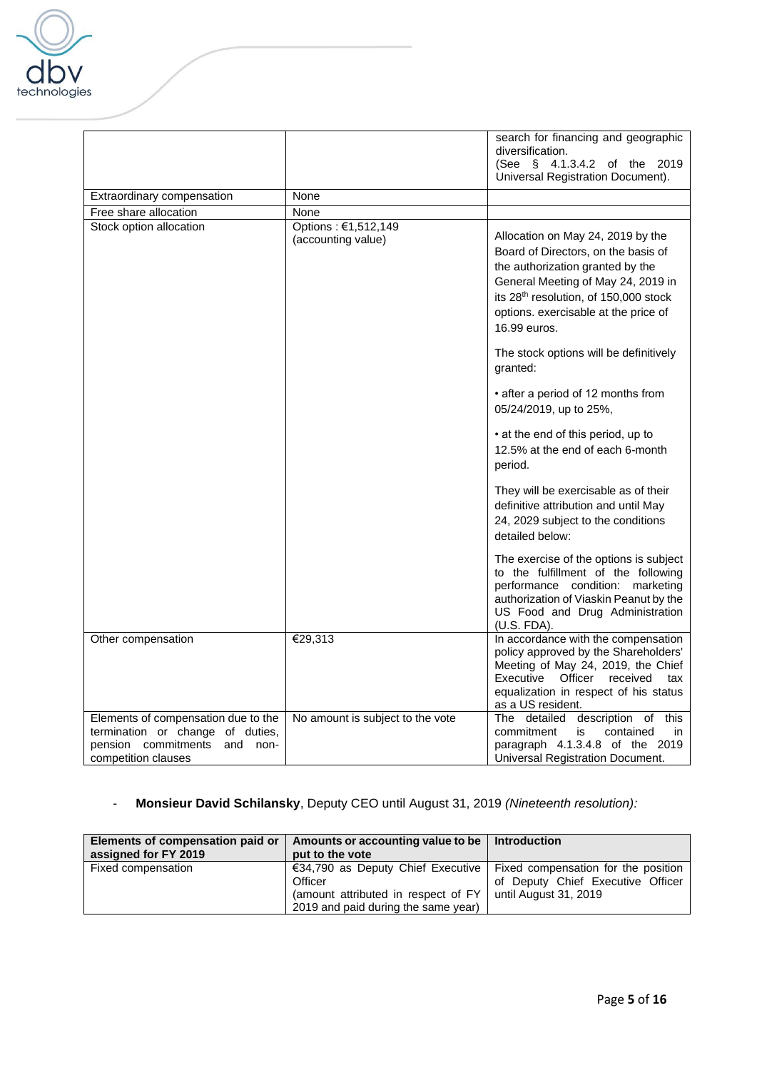

|                                                                                                                                      |                                           | search for financing and geographic<br>diversification.                                                                                                                                                                                             |
|--------------------------------------------------------------------------------------------------------------------------------------|-------------------------------------------|-----------------------------------------------------------------------------------------------------------------------------------------------------------------------------------------------------------------------------------------------------|
|                                                                                                                                      |                                           | (See § 4.1.3.4.2 of the 2019<br>Universal Registration Document).                                                                                                                                                                                   |
| Extraordinary compensation                                                                                                           | None                                      |                                                                                                                                                                                                                                                     |
| Free share allocation                                                                                                                | None                                      |                                                                                                                                                                                                                                                     |
| Stock option allocation                                                                                                              | Options: €1,512,149<br>(accounting value) | Allocation on May 24, 2019 by the<br>Board of Directors, on the basis of<br>the authorization granted by the<br>General Meeting of May 24, 2019 in<br>its 28th resolution, of 150,000 stock<br>options. exercisable at the price of<br>16.99 euros. |
|                                                                                                                                      |                                           | The stock options will be definitively<br>granted:                                                                                                                                                                                                  |
|                                                                                                                                      |                                           | • after a period of 12 months from<br>05/24/2019, up to 25%,                                                                                                                                                                                        |
|                                                                                                                                      |                                           | • at the end of this period, up to<br>12.5% at the end of each 6-month<br>period.                                                                                                                                                                   |
|                                                                                                                                      |                                           | They will be exercisable as of their<br>definitive attribution and until May<br>24, 2029 subject to the conditions<br>detailed below:                                                                                                               |
|                                                                                                                                      |                                           | The exercise of the options is subject<br>to the fulfillment of the following<br>performance condition: marketing<br>authorization of Viaskin Peanut by the<br>US Food and Drug Administration<br>(U.S. FDA).                                       |
| Other compensation                                                                                                                   | €29,313                                   | In accordance with the compensation<br>policy approved by the Shareholders'<br>Meeting of May 24, 2019, the Chief<br>Executive Officer<br>received<br>tax<br>equalization in respect of his status<br>as a US resident.                             |
| Elements of compensation due to the<br>termination or change of duties,<br>pension commitments<br>and<br>non-<br>competition clauses | No amount is subject to the vote          | The detailed<br>description of<br>this<br>commitment<br>contained<br>is<br>in.<br>paragraph 4.1.3.4.8 of the 2019<br>Universal Registration Document.                                                                                               |

# - **Monsieur David Schilansky**, Deputy CEO until August 31, 2019 *(Nineteenth resolution):*

| Elements of compensation paid or<br>assigned for FY 2019 | Amounts or accounting value to be<br>put to the vote                                                                                                               | <b>Introduction</b>                                        |
|----------------------------------------------------------|--------------------------------------------------------------------------------------------------------------------------------------------------------------------|------------------------------------------------------------|
| Fixed compensation                                       | €34,790 as Deputy Chief Executive   Fixed compensation for the position<br>Officer<br>(amount attributed in respect of FY )<br>2019 and paid during the same year) | of Deputy Chief Executive Officer<br>until August 31, 2019 |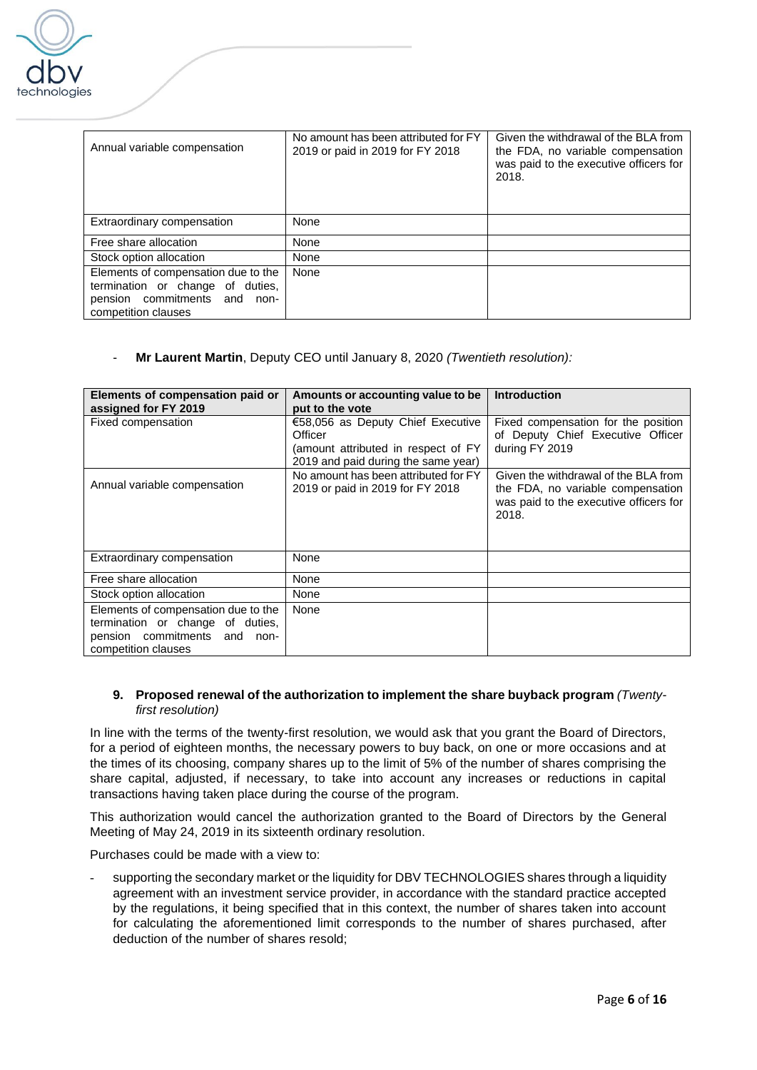

| Annual variable compensation                                                                                                      | No amount has been attributed for FY<br>2019 or paid in 2019 for FY 2018 | Given the withdrawal of the BLA from<br>the FDA, no variable compensation<br>was paid to the executive officers for<br>2018. |
|-----------------------------------------------------------------------------------------------------------------------------------|--------------------------------------------------------------------------|------------------------------------------------------------------------------------------------------------------------------|
| Extraordinary compensation                                                                                                        | None                                                                     |                                                                                                                              |
| Free share allocation                                                                                                             | None                                                                     |                                                                                                                              |
| Stock option allocation                                                                                                           | None                                                                     |                                                                                                                              |
| Elements of compensation due to the<br>termination or change of duties,<br>pension commitments and<br>non-<br>competition clauses | None                                                                     |                                                                                                                              |

# - **Mr Laurent Martin**, Deputy CEO until January 8, 2020 *(Twentieth resolution):*

| Elements of compensation paid or<br>assigned for FY 2019                                                                             | Amounts or accounting value to be<br>put to the vote                                                                       | <b>Introduction</b>                                                                                                          |
|--------------------------------------------------------------------------------------------------------------------------------------|----------------------------------------------------------------------------------------------------------------------------|------------------------------------------------------------------------------------------------------------------------------|
| Fixed compensation                                                                                                                   | €58,056 as Deputy Chief Executive<br>Officer<br>(amount attributed in respect of FY<br>2019 and paid during the same year) | Fixed compensation for the position<br>of Deputy Chief Executive Officer<br>during FY 2019                                   |
| Annual variable compensation                                                                                                         | No amount has been attributed for FY<br>2019 or paid in 2019 for FY 2018                                                   | Given the withdrawal of the BLA from<br>the FDA, no variable compensation<br>was paid to the executive officers for<br>2018. |
| Extraordinary compensation                                                                                                           | None                                                                                                                       |                                                                                                                              |
| Free share allocation                                                                                                                | None                                                                                                                       |                                                                                                                              |
| Stock option allocation                                                                                                              | None                                                                                                                       |                                                                                                                              |
| Elements of compensation due to the<br>termination or change of duties,<br>pension commitments<br>and<br>non-<br>competition clauses | None                                                                                                                       |                                                                                                                              |

#### **9. Proposed renewal of the authorization to implement the share buyback program** *(Twentyfirst resolution)*

In line with the terms of the twenty-first resolution, we would ask that you grant the Board of Directors, for a period of eighteen months, the necessary powers to buy back, on one or more occasions and at the times of its choosing, company shares up to the limit of 5% of the number of shares comprising the share capital, adjusted, if necessary, to take into account any increases or reductions in capital transactions having taken place during the course of the program.

This authorization would cancel the authorization granted to the Board of Directors by the General Meeting of May 24, 2019 in its sixteenth ordinary resolution.

Purchases could be made with a view to:

supporting the secondary market or the liquidity for DBV TECHNOLOGIES shares through a liquidity agreement with an investment service provider, in accordance with the standard practice accepted by the regulations, it being specified that in this context, the number of shares taken into account for calculating the aforementioned limit corresponds to the number of shares purchased, after deduction of the number of shares resold;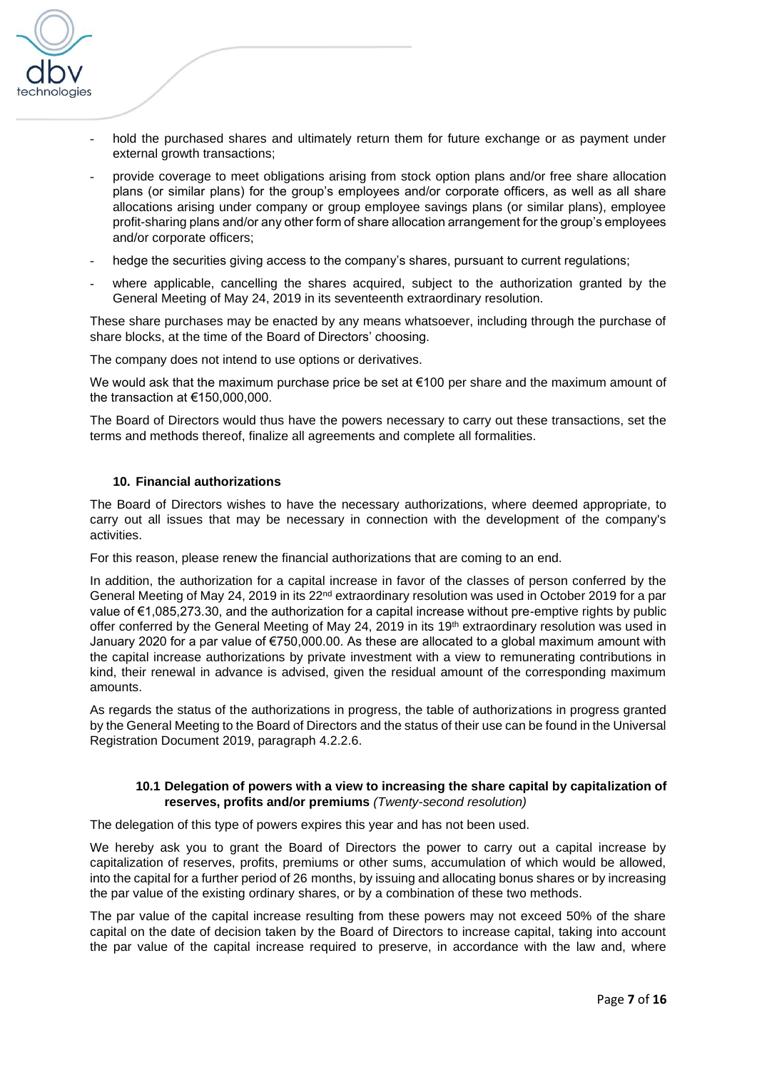

- hold the purchased shares and ultimately return them for future exchange or as payment under external growth transactions;
- provide coverage to meet obligations arising from stock option plans and/or free share allocation plans (or similar plans) for the group's employees and/or corporate officers, as well as all share allocations arising under company or group employee savings plans (or similar plans), employee profit-sharing plans and/or any other form of share allocation arrangement for the group's employees and/or corporate officers;
- hedge the securities giving access to the company's shares, pursuant to current regulations;
- where applicable, cancelling the shares acquired, subject to the authorization granted by the General Meeting of May 24, 2019 in its seventeenth extraordinary resolution.

These share purchases may be enacted by any means whatsoever, including through the purchase of share blocks, at the time of the Board of Directors' choosing.

The company does not intend to use options or derivatives.

We would ask that the maximum purchase price be set at €100 per share and the maximum amount of the transaction at €150,000,000.

The Board of Directors would thus have the powers necessary to carry out these transactions, set the terms and methods thereof, finalize all agreements and complete all formalities.

#### **10. Financial authorizations**

The Board of Directors wishes to have the necessary authorizations, where deemed appropriate, to carry out all issues that may be necessary in connection with the development of the company's activities.

For this reason, please renew the financial authorizations that are coming to an end.

In addition, the authorization for a capital increase in favor of the classes of person conferred by the General Meeting of May 24, 2019 in its 22nd extraordinary resolution was used in October 2019 for a par value of €1,085,273.30, and the authorization for a capital increase without pre-emptive rights by public offer conferred by the General Meeting of May 24, 2019 in its 19<sup>th</sup> extraordinary resolution was used in January 2020 for a par value of €750,000.00. As these are allocated to a global maximum amount with the capital increase authorizations by private investment with a view to remunerating contributions in kind, their renewal in advance is advised, given the residual amount of the corresponding maximum amounts.

As regards the status of the authorizations in progress, the table of authorizations in progress granted by the General Meeting to the Board of Directors and the status of their use can be found in the Universal Registration Document 2019, paragraph 4.2.2.6.

#### **10.1 Delegation of powers with a view to increasing the share capital by capitalization of reserves, profits and/or premiums** *(Twenty-second resolution)*

The delegation of this type of powers expires this year and has not been used.

We hereby ask you to grant the Board of Directors the power to carry out a capital increase by capitalization of reserves, profits, premiums or other sums, accumulation of which would be allowed, into the capital for a further period of 26 months, by issuing and allocating bonus shares or by increasing the par value of the existing ordinary shares, or by a combination of these two methods.

The par value of the capital increase resulting from these powers may not exceed 50% of the share capital on the date of decision taken by the Board of Directors to increase capital, taking into account the par value of the capital increase required to preserve, in accordance with the law and, where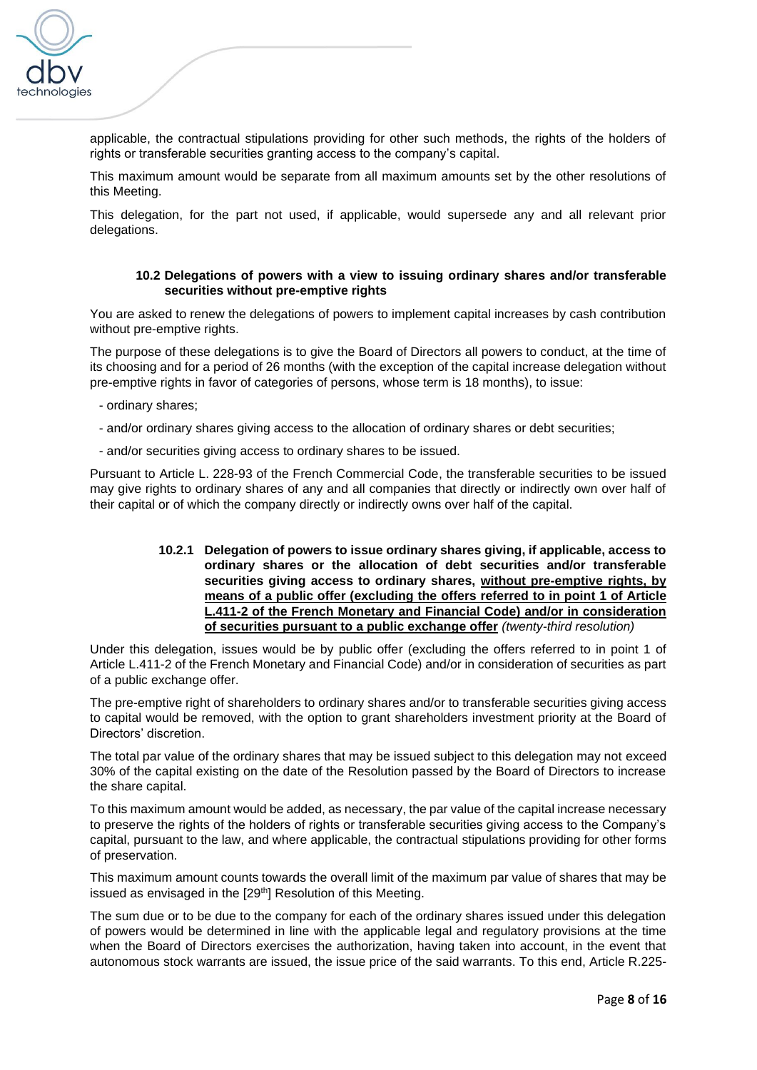

applicable, the contractual stipulations providing for other such methods, the rights of the holders of rights or transferable securities granting access to the company's capital.

This maximum amount would be separate from all maximum amounts set by the other resolutions of this Meeting.

This delegation, for the part not used, if applicable, would supersede any and all relevant prior delegations.

# **10.2 Delegations of powers with a view to issuing ordinary shares and/or transferable securities without pre-emptive rights**

You are asked to renew the delegations of powers to implement capital increases by cash contribution without pre-emptive rights.

The purpose of these delegations is to give the Board of Directors all powers to conduct, at the time of its choosing and for a period of 26 months (with the exception of the capital increase delegation without pre-emptive rights in favor of categories of persons, whose term is 18 months), to issue:

- ordinary shares;
- and/or ordinary shares giving access to the allocation of ordinary shares or debt securities;
- and/or securities giving access to ordinary shares to be issued.

Pursuant to Article L. 228-93 of the French Commercial Code, the transferable securities to be issued may give rights to ordinary shares of any and all companies that directly or indirectly own over half of their capital or of which the company directly or indirectly owns over half of the capital.

# **10.2.1 Delegation of powers to issue ordinary shares giving, if applicable, access to ordinary shares or the allocation of debt securities and/or transferable securities giving access to ordinary shares, without pre-emptive rights, by means of a public offer (excluding the offers referred to in point 1 of Article L.411-2 of the French Monetary and Financial Code) and/or in consideration of securities pursuant to a public exchange offer** *(twenty-third resolution)*

Under this delegation, issues would be by public offer (excluding the offers referred to in point 1 of Article L.411-2 of the French Monetary and Financial Code) and/or in consideration of securities as part of a public exchange offer.

The pre-emptive right of shareholders to ordinary shares and/or to transferable securities giving access to capital would be removed, with the option to grant shareholders investment priority at the Board of Directors' discretion.

The total par value of the ordinary shares that may be issued subject to this delegation may not exceed 30% of the capital existing on the date of the Resolution passed by the Board of Directors to increase the share capital.

To this maximum amount would be added, as necessary, the par value of the capital increase necessary to preserve the rights of the holders of rights or transferable securities giving access to the Company's capital, pursuant to the law, and where applicable, the contractual stipulations providing for other forms of preservation.

This maximum amount counts towards the overall limit of the maximum par value of shares that may be issued as envisaged in the [29<sup>th</sup>] Resolution of this Meeting.

The sum due or to be due to the company for each of the ordinary shares issued under this delegation of powers would be determined in line with the applicable legal and regulatory provisions at the time when the Board of Directors exercises the authorization, having taken into account, in the event that autonomous stock warrants are issued, the issue price of the said warrants. To this end, Article R.225-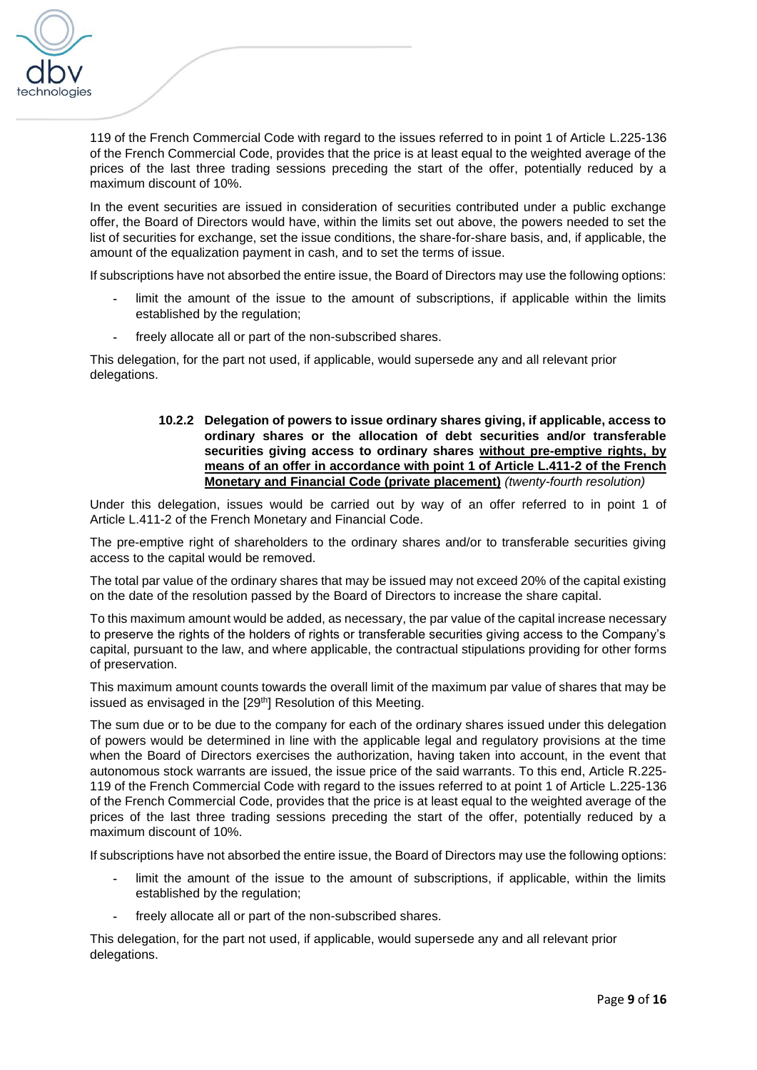

119 of the French Commercial Code with regard to the issues referred to in point 1 of Article L.225-136 of the French Commercial Code, provides that the price is at least equal to the weighted average of the prices of the last three trading sessions preceding the start of the offer, potentially reduced by a maximum discount of 10%.

In the event securities are issued in consideration of securities contributed under a public exchange offer, the Board of Directors would have, within the limits set out above, the powers needed to set the list of securities for exchange, set the issue conditions, the share-for-share basis, and, if applicable, the amount of the equalization payment in cash, and to set the terms of issue.

If subscriptions have not absorbed the entire issue, the Board of Directors may use the following options:

- **-** limit the amount of the issue to the amount of subscriptions, if applicable within the limits established by the regulation;
- **-** freely allocate all or part of the non-subscribed shares.

This delegation, for the part not used, if applicable, would supersede any and all relevant prior delegations.

# **10.2.2 Delegation of powers to issue ordinary shares giving, if applicable, access to ordinary shares or the allocation of debt securities and/or transferable securities giving access to ordinary shares without pre-emptive rights, by means of an offer in accordance with point 1 of Article L.411-2 of the French Monetary and Financial Code (private placement)** *(twenty-fourth resolution)*

Under this delegation, issues would be carried out by way of an offer referred to in point 1 of Article L.411-2 of the French Monetary and Financial Code.

The pre-emptive right of shareholders to the ordinary shares and/or to transferable securities giving access to the capital would be removed.

The total par value of the ordinary shares that may be issued may not exceed 20% of the capital existing on the date of the resolution passed by the Board of Directors to increase the share capital.

To this maximum amount would be added, as necessary, the par value of the capital increase necessary to preserve the rights of the holders of rights or transferable securities giving access to the Company's capital, pursuant to the law, and where applicable, the contractual stipulations providing for other forms of preservation.

This maximum amount counts towards the overall limit of the maximum par value of shares that may be issued as envisaged in the [29<sup>th</sup>] Resolution of this Meeting.

The sum due or to be due to the company for each of the ordinary shares issued under this delegation of powers would be determined in line with the applicable legal and regulatory provisions at the time when the Board of Directors exercises the authorization, having taken into account, in the event that autonomous stock warrants are issued, the issue price of the said warrants. To this end, Article R.225- 119 of the French Commercial Code with regard to the issues referred to at point 1 of Article L.225-136 of the French Commercial Code, provides that the price is at least equal to the weighted average of the prices of the last three trading sessions preceding the start of the offer, potentially reduced by a maximum discount of 10%.

If subscriptions have not absorbed the entire issue, the Board of Directors may use the following options:

- **-** limit the amount of the issue to the amount of subscriptions, if applicable, within the limits established by the regulation;
- **-** freely allocate all or part of the non-subscribed shares.

This delegation, for the part not used, if applicable, would supersede any and all relevant prior delegations.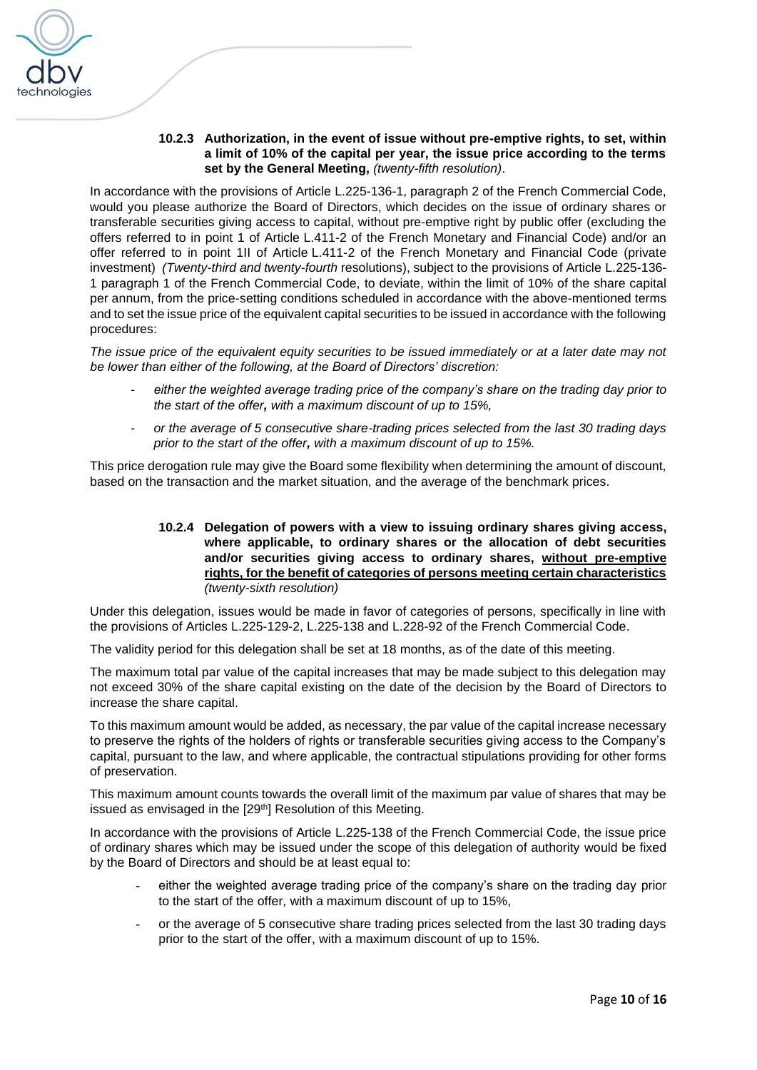

# **10.2.3 Authorization, in the event of issue without pre-emptive rights, to set, within a limit of 10% of the capital per year, the issue price according to the terms set by the General Meeting,** *(twenty-fifth resolution)*.

In accordance with the provisions of Article L.225-136-1, paragraph 2 of the French Commercial Code, would you please authorize the Board of Directors, which decides on the issue of ordinary shares or transferable securities giving access to capital, without pre-emptive right by public offer (excluding the offers referred to in point 1 of Article L.411-2 of the French Monetary and Financial Code) and/or an offer referred to in point 1II of Article L.411-2 of the French Monetary and Financial Code (private investment) *(Twenty-third and twenty-fourth* resolutions), subject to the provisions of Article L.225-136- 1 paragraph 1 of the French Commercial Code, to deviate, within the limit of 10% of the share capital per annum, from the price-setting conditions scheduled in accordance with the above-mentioned terms and to set the issue price of the equivalent capital securities to be issued in accordance with the following procedures:

*The issue price of the equivalent equity securities to be issued immediately or at a later date may not be lower than either of the following, at the Board of Directors' discretion:* 

- either the weighted average trading price of the company's share on the trading day prior to *the start of the offer, with a maximum discount of up to 15%,*
- *or the average of 5 consecutive share-trading prices selected from the last 30 trading days prior to the start of the offer, with a maximum discount of up to 15%.*

This price derogation rule may give the Board some flexibility when determining the amount of discount, based on the transaction and the market situation, and the average of the benchmark prices.

### **10.2.4 Delegation of powers with a view to issuing ordinary shares giving access, where applicable, to ordinary shares or the allocation of debt securities and/or securities giving access to ordinary shares, without pre-emptive rights, for the benefit of categories of persons meeting certain characteristics** *(twenty-sixth resolution)*

Under this delegation, issues would be made in favor of categories of persons, specifically in line with the provisions of Articles L.225-129-2, L.225-138 and L.228-92 of the French Commercial Code.

The validity period for this delegation shall be set at 18 months, as of the date of this meeting.

The maximum total par value of the capital increases that may be made subject to this delegation may not exceed 30% of the share capital existing on the date of the decision by the Board of Directors to increase the share capital.

To this maximum amount would be added, as necessary, the par value of the capital increase necessary to preserve the rights of the holders of rights or transferable securities giving access to the Company's capital, pursuant to the law, and where applicable, the contractual stipulations providing for other forms of preservation.

This maximum amount counts towards the overall limit of the maximum par value of shares that may be issued as envisaged in the [29<sup>th</sup>] Resolution of this Meeting.

In accordance with the provisions of Article L.225-138 of the French Commercial Code, the issue price of ordinary shares which may be issued under the scope of this delegation of authority would be fixed by the Board of Directors and should be at least equal to:

- either the weighted average trading price of the company's share on the trading day prior to the start of the offer, with a maximum discount of up to 15%,
- or the average of 5 consecutive share trading prices selected from the last 30 trading days prior to the start of the offer, with a maximum discount of up to 15%.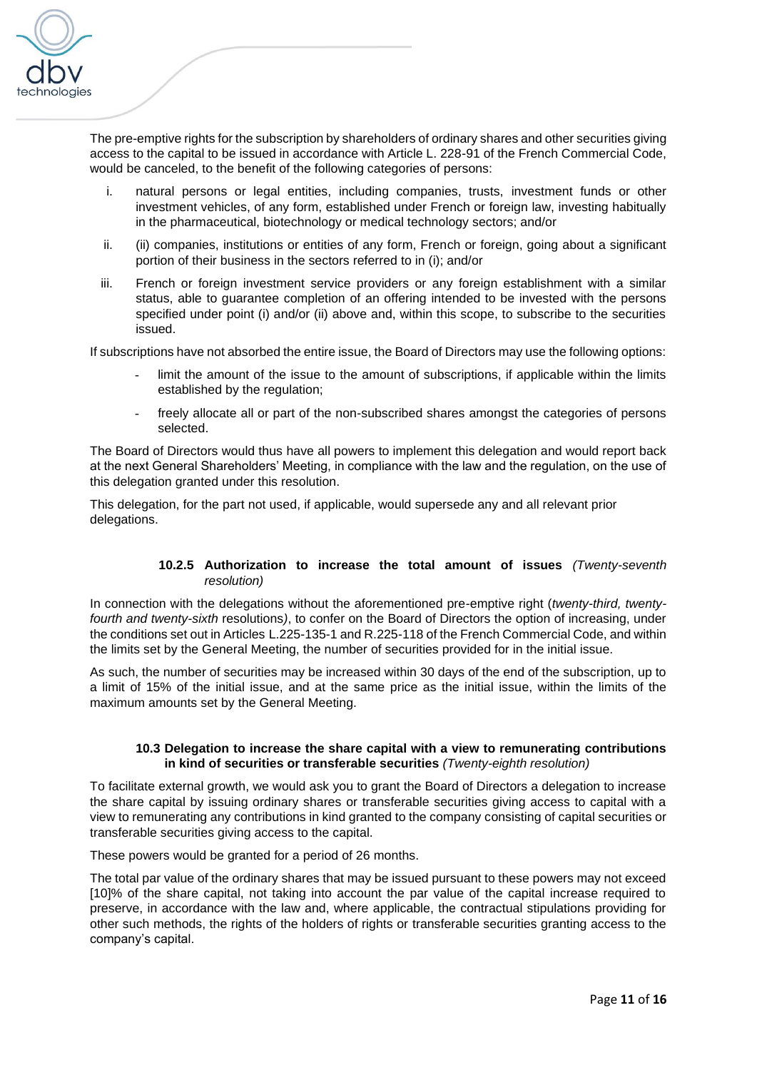

The pre-emptive rights for the subscription by shareholders of ordinary shares and other securities giving access to the capital to be issued in accordance with Article L. 228-91 of the French Commercial Code, would be canceled, to the benefit of the following categories of persons:

- i. natural persons or legal entities, including companies, trusts, investment funds or other investment vehicles, of any form, established under French or foreign law, investing habitually in the pharmaceutical, biotechnology or medical technology sectors; and/or
- ii. (ii) companies, institutions or entities of any form, French or foreign, going about a significant portion of their business in the sectors referred to in (i); and/or
- iii. French or foreign investment service providers or any foreign establishment with a similar status, able to guarantee completion of an offering intended to be invested with the persons specified under point (i) and/or (ii) above and, within this scope, to subscribe to the securities issued.

If subscriptions have not absorbed the entire issue, the Board of Directors may use the following options:

- limit the amount of the issue to the amount of subscriptions, if applicable within the limits established by the regulation;
- freely allocate all or part of the non-subscribed shares amongst the categories of persons selected.

The Board of Directors would thus have all powers to implement this delegation and would report back at the next General Shareholders' Meeting, in compliance with the law and the regulation, on the use of this delegation granted under this resolution.

This delegation, for the part not used, if applicable, would supersede any and all relevant prior delegations.

# **10.2.5 Authorization to increase the total amount of issues** *(Twenty-seventh resolution)*

In connection with the delegations without the aforementioned pre-emptive right (*twenty-third, twentyfourth and twenty-sixth* resolutions*)*, to confer on the Board of Directors the option of increasing, under the conditions set out in Articles L.225-135-1 and R.225-118 of the French Commercial Code, and within the limits set by the General Meeting, the number of securities provided for in the initial issue.

As such, the number of securities may be increased within 30 days of the end of the subscription, up to a limit of 15% of the initial issue, and at the same price as the initial issue, within the limits of the maximum amounts set by the General Meeting.

# **10.3 Delegation to increase the share capital with a view to remunerating contributions in kind of securities or transferable securities** *(Twenty-eighth resolution)*

To facilitate external growth, we would ask you to grant the Board of Directors a delegation to increase the share capital by issuing ordinary shares or transferable securities giving access to capital with a view to remunerating any contributions in kind granted to the company consisting of capital securities or transferable securities giving access to the capital.

These powers would be granted for a period of 26 months.

The total par value of the ordinary shares that may be issued pursuant to these powers may not exceed [10]% of the share capital, not taking into account the par value of the capital increase required to preserve, in accordance with the law and, where applicable, the contractual stipulations providing for other such methods, the rights of the holders of rights or transferable securities granting access to the company's capital.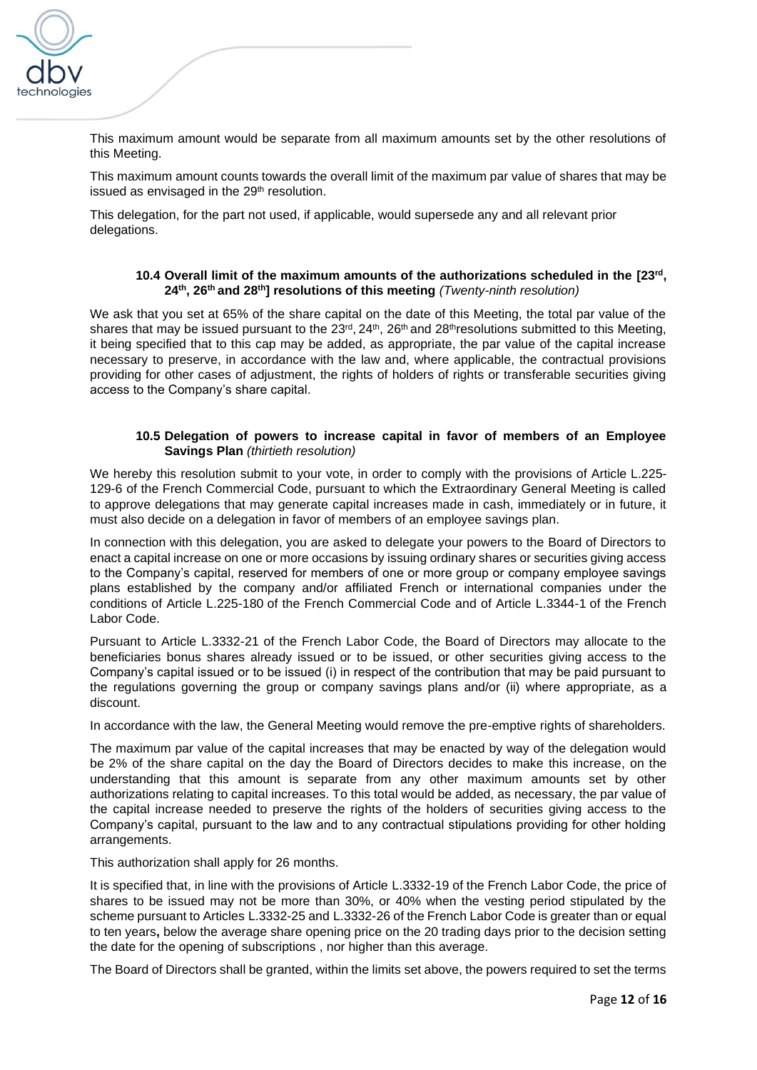

This maximum amount would be separate from all maximum amounts set by the other resolutions of this Meeting.

This maximum amount counts towards the overall limit of the maximum par value of shares that may be issued as envisaged in the  $29<sup>th</sup>$  resolution.

This delegation, for the part not used, if applicable, would supersede any and all relevant prior delegations.

# **10.4 Overall limit of the maximum amounts of the authorizations scheduled in the [23rd , 24th, 26th and 28th] resolutions of this meeting** *(Twenty-ninth resolution)*

We ask that you set at 65% of the share capital on the date of this Meeting, the total par value of the shares that may be issued pursuant to the  $23^{\prime\prime}$ ,  $24^{\prime\prime}$ ,  $26^{\prime\prime}$  and  $28^{\prime\prime}$  resolutions submitted to this Meeting, it being specified that to this cap may be added, as appropriate, the par value of the capital increase necessary to preserve, in accordance with the law and, where applicable, the contractual provisions providing for other cases of adjustment, the rights of holders of rights or transferable securities giving access to the Company's share capital.

# **10.5 Delegation of powers to increase capital in favor of members of an Employee Savings Plan** *(thirtieth resolution)*

We hereby this resolution submit to your vote, in order to comply with the provisions of Article L.225-129-6 of the French Commercial Code, pursuant to which the Extraordinary General Meeting is called to approve delegations that may generate capital increases made in cash, immediately or in future, it must also decide on a delegation in favor of members of an employee savings plan.

In connection with this delegation, you are asked to delegate your powers to the Board of Directors to enact a capital increase on one or more occasions by issuing ordinary shares or securities giving access to the Company's capital, reserved for members of one or more group or company employee savings plans established by the company and/or affiliated French or international companies under the conditions of Article L.225-180 of the French Commercial Code and of Article L.3344-1 of the French Labor Code.

Pursuant to Article L.3332-21 of the French Labor Code, the Board of Directors may allocate to the beneficiaries bonus shares already issued or to be issued, or other securities giving access to the Company's capital issued or to be issued (i) in respect of the contribution that may be paid pursuant to the regulations governing the group or company savings plans and/or (ii) where appropriate, as a discount.

In accordance with the law, the General Meeting would remove the pre-emptive rights of shareholders.

The maximum par value of the capital increases that may be enacted by way of the delegation would be 2% of the share capital on the day the Board of Directors decides to make this increase, on the understanding that this amount is separate from any other maximum amounts set by other authorizations relating to capital increases. To this total would be added, as necessary, the par value of the capital increase needed to preserve the rights of the holders of securities giving access to the Company's capital, pursuant to the law and to any contractual stipulations providing for other holding arrangements.

This authorization shall apply for 26 months.

It is specified that, in line with the provisions of Article L.3332-19 of the French Labor Code, the price of shares to be issued may not be more than 30%, or 40% when the vesting period stipulated by the scheme pursuant to Articles L.3332-25 and L.3332-26 of the French Labor Code is greater than or equal to ten years**,** below the average share opening price on the 20 trading days prior to the decision setting the date for the opening of subscriptions , nor higher than this average.

The Board of Directors shall be granted, within the limits set above, the powers required to set the terms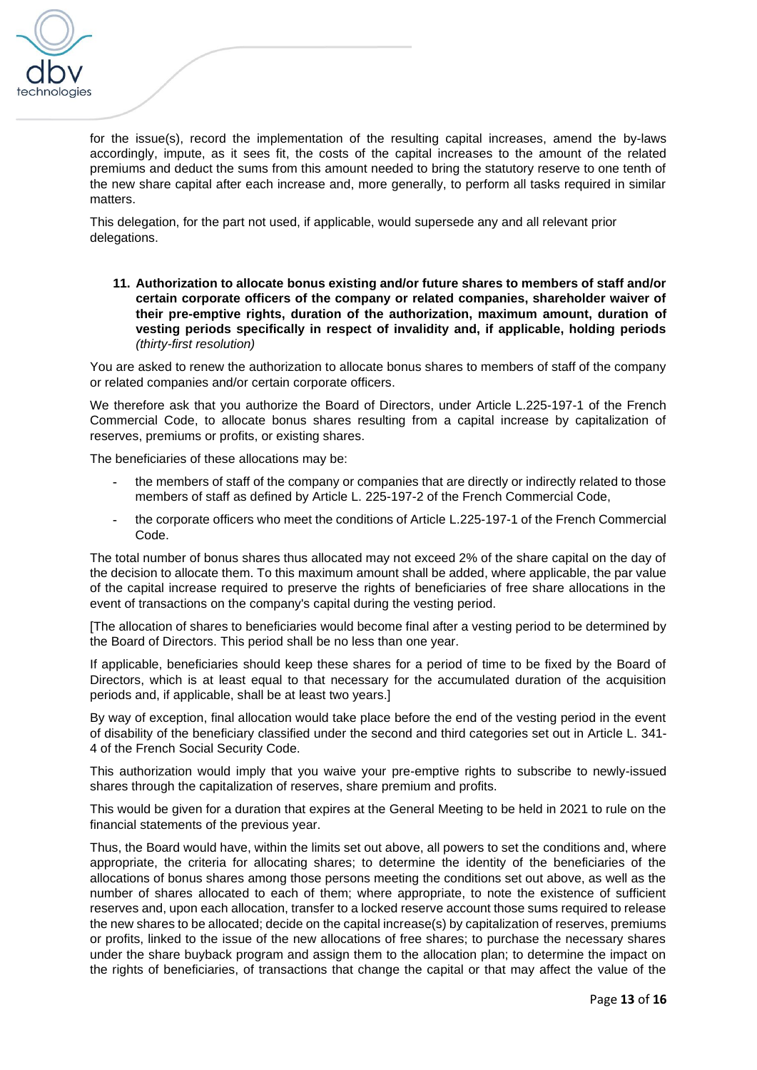

for the issue(s), record the implementation of the resulting capital increases, amend the by-laws accordingly, impute, as it sees fit, the costs of the capital increases to the amount of the related premiums and deduct the sums from this amount needed to bring the statutory reserve to one tenth of the new share capital after each increase and, more generally, to perform all tasks required in similar matters.

This delegation, for the part not used, if applicable, would supersede any and all relevant prior delegations.

**11. Authorization to allocate bonus existing and/or future shares to members of staff and/or certain corporate officers of the company or related companies, shareholder waiver of their pre-emptive rights, duration of the authorization, maximum amount, duration of vesting periods specifically in respect of invalidity and, if applicable, holding periods**  *(thirty-first resolution)*

You are asked to renew the authorization to allocate bonus shares to members of staff of the company or related companies and/or certain corporate officers.

We therefore ask that you authorize the Board of Directors, under Article L.225-197-1 of the French Commercial Code, to allocate bonus shares resulting from a capital increase by capitalization of reserves, premiums or profits, or existing shares.

The beneficiaries of these allocations may be:

- **-** the members of staff of the company or companies that are directly or indirectly related to those members of staff as defined by Article L. 225-197-2 of the French Commercial Code,
- **-** the corporate officers who meet the conditions of Article L.225-197-1 of the French Commercial Code.

The total number of bonus shares thus allocated may not exceed 2% of the share capital on the day of the decision to allocate them. To this maximum amount shall be added, where applicable, the par value of the capital increase required to preserve the rights of beneficiaries of free share allocations in the event of transactions on the company's capital during the vesting period.

[The allocation of shares to beneficiaries would become final after a vesting period to be determined by the Board of Directors. This period shall be no less than one year.

If applicable, beneficiaries should keep these shares for a period of time to be fixed by the Board of Directors, which is at least equal to that necessary for the accumulated duration of the acquisition periods and, if applicable, shall be at least two years.]

By way of exception, final allocation would take place before the end of the vesting period in the event of disability of the beneficiary classified under the second and third categories set out in Article L. 341- 4 of the French Social Security Code.

This authorization would imply that you waive your pre-emptive rights to subscribe to newly-issued shares through the capitalization of reserves, share premium and profits.

This would be given for a duration that expires at the General Meeting to be held in 2021 to rule on the financial statements of the previous year.

Thus, the Board would have, within the limits set out above, all powers to set the conditions and, where appropriate, the criteria for allocating shares; to determine the identity of the beneficiaries of the allocations of bonus shares among those persons meeting the conditions set out above, as well as the number of shares allocated to each of them; where appropriate, to note the existence of sufficient reserves and, upon each allocation, transfer to a locked reserve account those sums required to release the new shares to be allocated; decide on the capital increase(s) by capitalization of reserves, premiums or profits, linked to the issue of the new allocations of free shares; to purchase the necessary shares under the share buyback program and assign them to the allocation plan; to determine the impact on the rights of beneficiaries, of transactions that change the capital or that may affect the value of the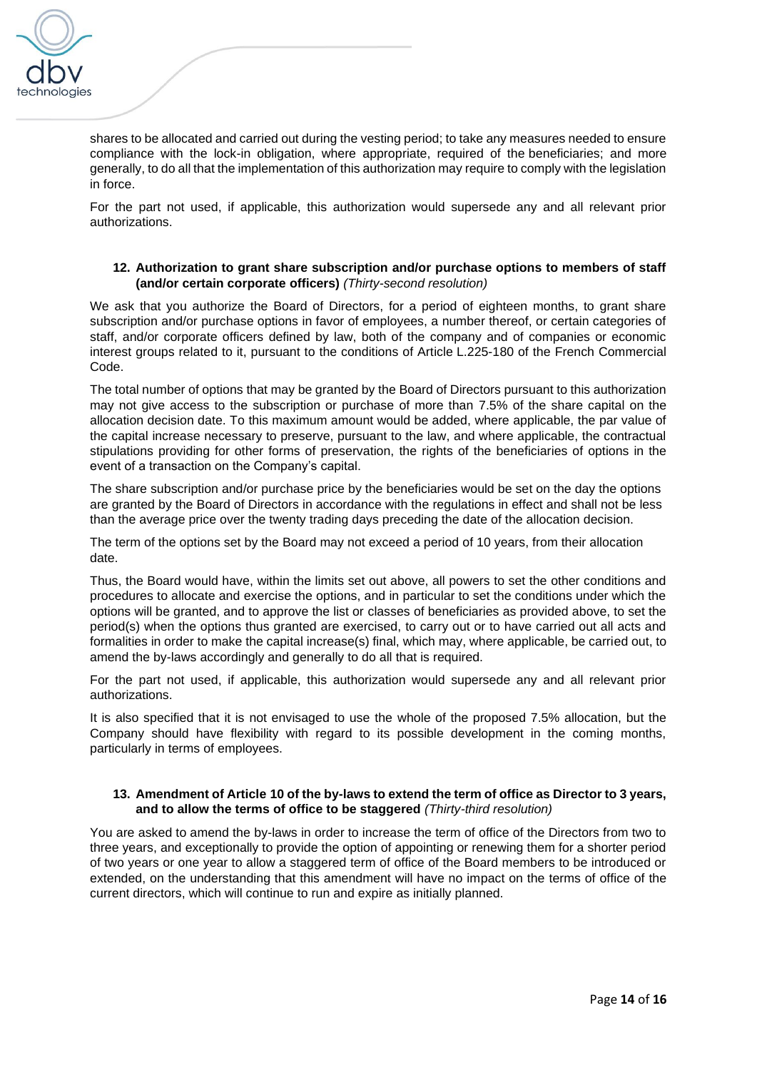

shares to be allocated and carried out during the vesting period; to take any measures needed to ensure compliance with the lock-in obligation, where appropriate, required of the beneficiaries; and more generally, to do all that the implementation of this authorization may require to comply with the legislation in force.

For the part not used, if applicable, this authorization would supersede any and all relevant prior authorizations.

# **12. Authorization to grant share subscription and/or purchase options to members of staff (and/or certain corporate officers)** *(Thirty-second resolution)*

We ask that you authorize the Board of Directors, for a period of eighteen months, to grant share subscription and/or purchase options in favor of employees, a number thereof, or certain categories of staff, and/or corporate officers defined by law, both of the company and of companies or economic interest groups related to it, pursuant to the conditions of Article L.225-180 of the French Commercial Code.

The total number of options that may be granted by the Board of Directors pursuant to this authorization may not give access to the subscription or purchase of more than 7.5% of the share capital on the allocation decision date. To this maximum amount would be added, where applicable, the par value of the capital increase necessary to preserve, pursuant to the law, and where applicable, the contractual stipulations providing for other forms of preservation, the rights of the beneficiaries of options in the event of a transaction on the Company's capital.

The share subscription and/or purchase price by the beneficiaries would be set on the day the options are granted by the Board of Directors in accordance with the regulations in effect and shall not be less than the average price over the twenty trading days preceding the date of the allocation decision.

The term of the options set by the Board may not exceed a period of 10 years, from their allocation date.

Thus, the Board would have, within the limits set out above, all powers to set the other conditions and procedures to allocate and exercise the options, and in particular to set the conditions under which the options will be granted, and to approve the list or classes of beneficiaries as provided above, to set the period(s) when the options thus granted are exercised, to carry out or to have carried out all acts and formalities in order to make the capital increase(s) final, which may, where applicable, be carried out, to amend the by-laws accordingly and generally to do all that is required.

For the part not used, if applicable, this authorization would supersede any and all relevant prior authorizations.

It is also specified that it is not envisaged to use the whole of the proposed 7.5% allocation, but the Company should have flexibility with regard to its possible development in the coming months, particularly in terms of employees.

# **13. Amendment of Article 10 of the by-laws to extend the term of office as Director to 3 years, and to allow the terms of office to be staggered** *(Thirty-third resolution)*

You are asked to amend the by-laws in order to increase the term of office of the Directors from two to three years, and exceptionally to provide the option of appointing or renewing them for a shorter period of two years or one year to allow a staggered term of office of the Board members to be introduced or extended, on the understanding that this amendment will have no impact on the terms of office of the current directors, which will continue to run and expire as initially planned.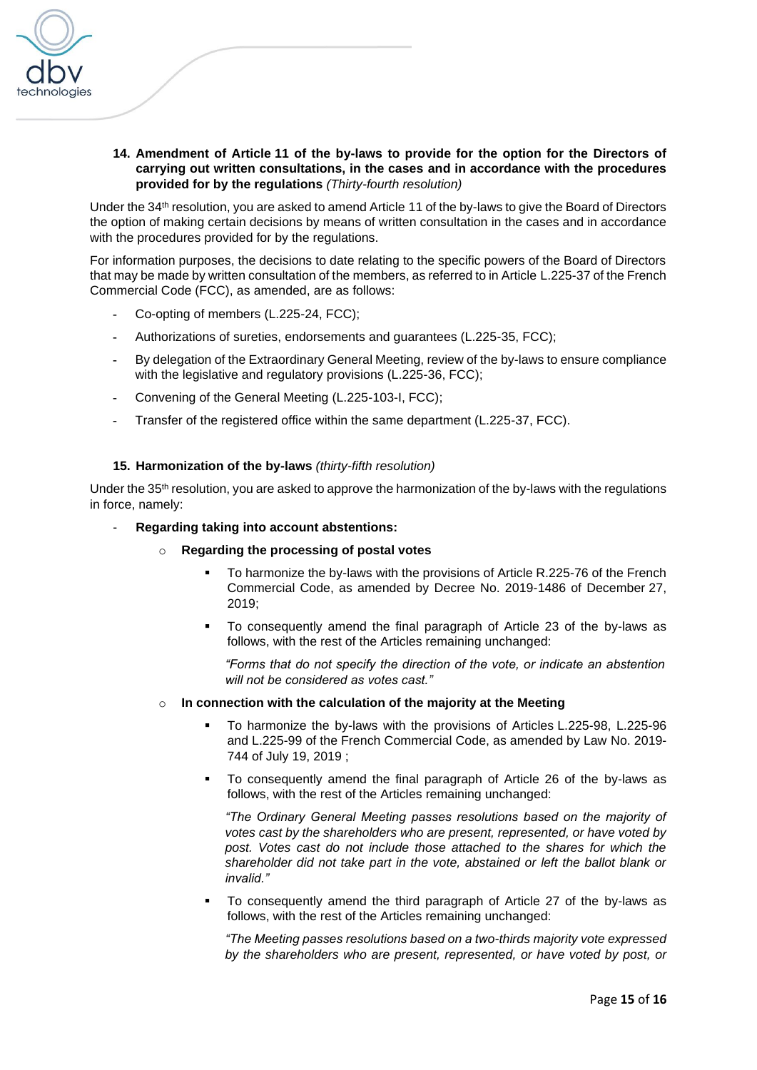

**14. Amendment of Article 11 of the by-laws to provide for the option for the Directors of carrying out written consultations, in the cases and in accordance with the procedures provided for by the regulations** *(Thirty-fourth resolution)*

Under the 34th resolution, you are asked to amend Article 11 of the by-laws to give the Board of Directors the option of making certain decisions by means of written consultation in the cases and in accordance with the procedures provided for by the regulations.

For information purposes, the decisions to date relating to the specific powers of the Board of Directors that may be made by written consultation of the members, as referred to in Article L.225-37 of the French Commercial Code (FCC), as amended, are as follows:

- **-** Co-opting of members (L.225-24, FCC);
- **-** Authorizations of sureties, endorsements and guarantees (L.225-35, FCC);
- **-** By delegation of the Extraordinary General Meeting, review of the by-laws to ensure compliance with the legislative and regulatory provisions (L.225-36, FCC);
- **-** Convening of the General Meeting (L.225-103-I, FCC);
- **-** Transfer of the registered office within the same department (L.225-37, FCC).

# **15. Harmonization of the by-laws** *(thirty-fifth resolution)*

Under the 35<sup>th</sup> resolution, you are asked to approve the harmonization of the by-laws with the regulations in force, namely:

#### - **Regarding taking into account abstentions:**

- o **Regarding the processing of postal votes**
	- To harmonize the by-laws with the provisions of Article R.225-76 of the French Commercial Code, as amended by [Decree No. 2019-1486 of December](https://www.legifrance.gouv.fr/affichTexteArticle.do;jsessionid=E32CAF1152ABD0388DCB6202E712ECB7.tplgfr36s_2?cidTexte=JORFTEXT000039684764&idArticle=LEGIARTI000039788039&dateTexte=20200131&categorieLien=id#LEGIARTI000039788039) 27, [2019;](https://www.legifrance.gouv.fr/affichTexteArticle.do;jsessionid=E32CAF1152ABD0388DCB6202E712ECB7.tplgfr36s_2?cidTexte=JORFTEXT000039684764&idArticle=LEGIARTI000039788039&dateTexte=20200131&categorieLien=id#LEGIARTI000039788039)
	- To consequently amend the final paragraph of Article 23 of the by-laws as follows, with the rest of the Articles remaining unchanged:

*"Forms that do not specify the direction of the vote, or indicate an abstention will not be considered as votes cast."* 

#### o **In connection with the calculation of the majority at the Meeting**

- To harmonize the by-laws with the provisions of Articles L.225-98, L.225-96 and L.225-99 of the French Commercial Code, as amended by Law [No. 2019-](https://www.legifrance.gouv.fr/affichTexteArticle.do;jsessionid=E32CAF1152ABD0388DCB6202E712ECB7.tplgfr36s_2?cidTexte=JORFTEXT000038792157&idArticle=LEGIARTI000038793734&dateTexte=20190721&categorieLien=id#LEGIARTI000038793734) [744 of July](https://www.legifrance.gouv.fr/affichTexteArticle.do;jsessionid=E32CAF1152ABD0388DCB6202E712ECB7.tplgfr36s_2?cidTexte=JORFTEXT000038792157&idArticle=LEGIARTI000038793734&dateTexte=20190721&categorieLien=id#LEGIARTI000038793734) 19, 2019 ;
- To consequently amend the final paragraph of Article 26 of the by-laws as follows, with the rest of the Articles remaining unchanged:

*"The Ordinary General Meeting passes resolutions based on the majority of votes cast by the shareholders who are present, represented, or have voted by*  post. Votes cast do not include those attached to the shares for which the *shareholder did not take part in the vote, abstained or left the ballot blank or invalid."*

To consequently amend the third paragraph of Article 27 of the by-laws as follows, with the rest of the Articles remaining unchanged:

*"The Meeting passes resolutions based on a two-thirds majority vote expressed by the shareholders who are present, represented, or have voted by post, or*